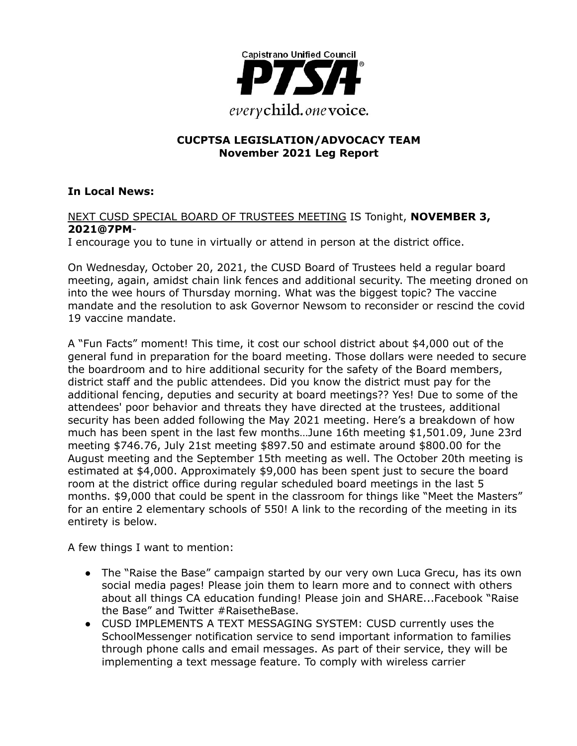

## **CUCPTSA LEGISLATION/ADVOCACY TEAM November 2021 Leg Report**

## **In Local News:**

#### NEXT CUSD SPECIAL BOARD OF TRUSTEES MEETING IS Tonight, **NOVEMBER 3, 2021@7PM**-

I encourage you to tune in virtually or attend in person at the district office.

On Wednesday, October 20, 2021, the CUSD Board of Trustees held a regular board meeting, again, amidst chain link fences and additional security. The meeting droned on into the wee hours of Thursday morning. What was the biggest topic? The vaccine mandate and the resolution to ask Governor Newsom to reconsider or rescind the covid 19 vaccine mandate.

A "Fun Facts" moment! This time, it cost our school district about \$4,000 out of the general fund in preparation for the board meeting. Those dollars were needed to secure the boardroom and to hire additional security for the safety of the Board members, district staff and the public attendees. Did you know the district must pay for the additional fencing, deputies and security at board meetings?? Yes! Due to some of the attendees' poor behavior and threats they have directed at the trustees, additional security has been added following the May 2021 meeting. Here's a breakdown of how much has been spent in the last few months…June 16th meeting \$1,501.09, June 23rd meeting \$746.76, July 21st meeting \$897.50 and estimate around \$800.00 for the August meeting and the September 15th meeting as well. The October 20th meeting is estimated at \$4,000. Approximately \$9,000 has been spent just to secure the board room at the district office during regular scheduled board meetings in the last 5 months. \$9,000 that could be spent in the classroom for things like "Meet the Masters" for an entire 2 elementary schools of 550! A link to the recording of the meeting in its entirety is below.

A few things I want to mention:

- The "Raise the Base" campaign started by our very own Luca Grecu, has its own social media pages! Please join them to learn more and to connect with others about all things CA education funding! Please join and SHARE...Facebook "Raise the Base" and Twitter #RaisetheBase.
- CUSD IMPLEMENTS A TEXT MESSAGING SYSTEM: CUSD currently uses the SchoolMessenger notification service to send important information to families through phone calls and email messages. As part of their service, they will be implementing a text message feature. To comply with wireless carrier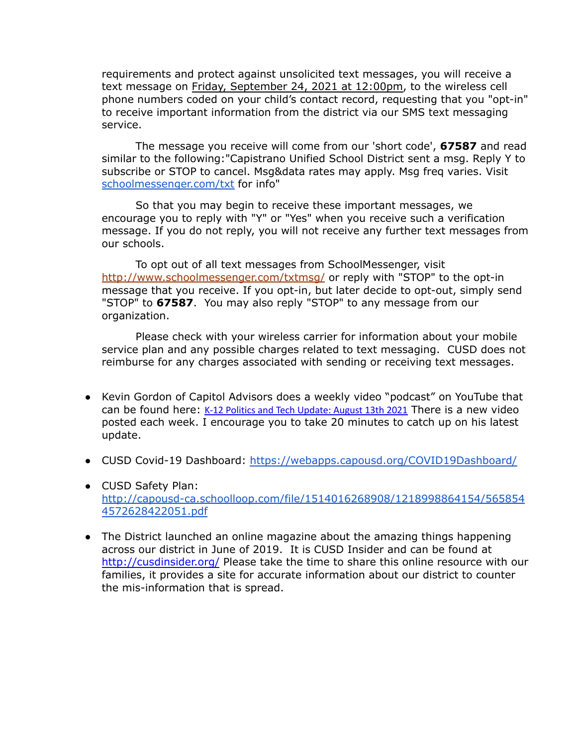requirements and protect against unsolicited text messages, you will receive a text message on Friday, September 24, 2021 at 12:00pm, to the wireless cell phone numbers coded on your child's contact record, requesting that you "opt-in" to receive important information from the district via our SMS text messaging service.

The message you receive will come from our 'short code', **67587** and read similar to the following:"Capistrano Unified School District sent a msg. Reply Y to subscribe or STOP to cancel. Msg&data rates may apply. Msg freq varies. Visit [schoolmessenger.com/txt](http://schoolmessenger.com/txt) for info"

So that you may begin to receive these important messages, we encourage you to reply with "Y" or "Yes" when you receive such a verification message. If you do not reply, you will not receive any further text messages from our schools.

To opt out of all text messages from SchoolMessenger, visit [http://www.schoolmessenger.com/txtmsg/](http://track.spe.schoolmessenger.com/f/a/SDU5gA9rQIl-wRRQd0wQoQ~~/AAAAAQA~/RgRjLgKHP0QmaHR0cDovL3d3dy5zY2hvb2xtZXNzZW5nZXIuY29tL3R4dG1zZy9XB3NjaG9vbG1CCmFLB89MYTfzb29SD2ptZ2V5ZXJAY294Lm5ldFgEAAAAAQ~~) or reply with "STOP" to the opt-in message that you receive. If you opt-in, but later decide to opt-out, simply send "STOP" to **67587**. You may also reply "STOP" to any message from our organization.

Please check with your wireless carrier for information about your mobile service plan and any possible charges related to text messaging. CUSD does not reimburse for any charges associated with sending or receiving text messages.

- Kevin Gordon of Capitol Advisors does a weekly video "podcast" on YouTube that can be found here: K-12 Politics and Tech [Update:](https://www.youtube.com/watch?v=puRinAZKkAk) August 13th 2021 There is a new video posted each week. I encourage you to take 20 minutes to catch up on his latest update.
- CUSD Covid-19 Dashboard: <https://webapps.capousd.org/COVID19Dashboard/>
- CUSD Safety Plan: [http://capousd-ca.schoolloop.com/file/1514016268908/1218998864154/565854](http://capousd-ca.schoolloop.com/file/1514016268908/1218998864154/5658544572628422051.pdf) [4572628422051.pdf](http://capousd-ca.schoolloop.com/file/1514016268908/1218998864154/5658544572628422051.pdf)
- The District launched an online magazine about the amazing things happening across our district in June of 2019. It is CUSD Insider and can be found at [http://cusdinsider.org/](http://cusdinsider.org/%20) Please take the time to share this online resource with our families, it provides a site for accurate information about our district to counter the mis-information that is spread.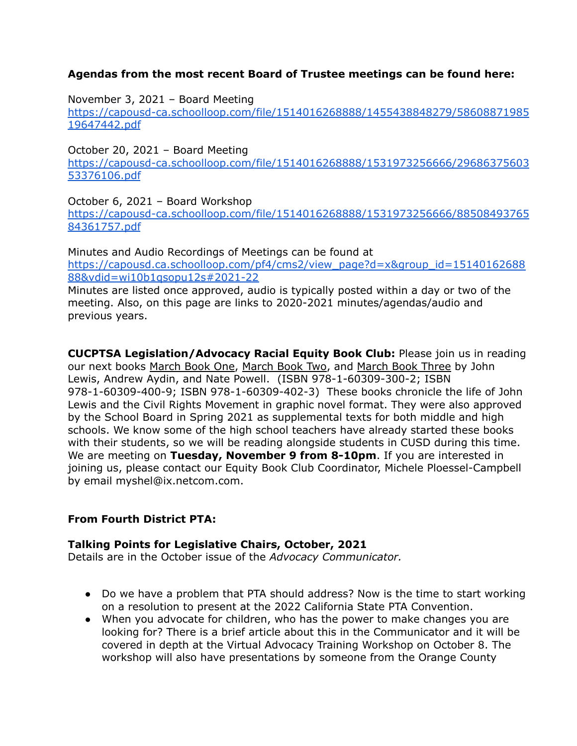## **Agendas from the most recent Board of Trustee meetings can be found here:**

November 3, 2021 – Board Meeting

[https://capousd-ca.schoolloop.com/file/1514016268888/1455438848279/58608871985](https://capousd-ca.schoolloop.com/file/1514016268888/1455438848279/5860887198519647442.pdf) [19647442.pdf](https://capousd-ca.schoolloop.com/file/1514016268888/1455438848279/5860887198519647442.pdf)

October 20, 2021 – Board Meeting [https://capousd-ca.schoolloop.com/file/1514016268888/1531973256666/29686375603](https://capousd-ca.schoolloop.com/file/1514016268888/1531973256666/2968637560353376106.pdf) [53376106.pdf](https://capousd-ca.schoolloop.com/file/1514016268888/1531973256666/2968637560353376106.pdf)

October 6, 2021 – Board Workshop [https://capousd-ca.schoolloop.com/file/1514016268888/1531973256666/88508493765](https://capousd-ca.schoolloop.com/file/1514016268888/1531973256666/8850849376584361757.pdf) [84361757.pdf](https://capousd-ca.schoolloop.com/file/1514016268888/1531973256666/8850849376584361757.pdf)

Minutes and Audio Recordings of Meetings can be found at [https://capousd.ca.schoolloop.com/pf4/cms2/view\\_page?d=x&group\\_id=15140162688](https://capousd.ca.schoolloop.com/pf4/cms2/view_page?d=x&group_id=1514016268888&vdid=wi10b1qsopu12s#2021-22) [88&vdid=wi10b1qsopu12s#2021-22](https://capousd.ca.schoolloop.com/pf4/cms2/view_page?d=x&group_id=1514016268888&vdid=wi10b1qsopu12s#2021-22) Minutes are listed once approved, audio is typically posted within a day or two of the meeting. Also, on this page are links to 2020-2021 minutes/agendas/audio and

previous years.

**CUCPTSA Legislation/Advocacy Racial Equity Book Club:** Please join us in reading our next books March Book One, March Book Two, and March Book Three by John Lewis, Andrew Aydin, and Nate Powell. (ISBN 978-1-60309-300-2; ISBN 978-1-60309-400-9; ISBN 978-1-60309-402-3) These books chronicle the life of John Lewis and the Civil Rights Movement in graphic novel format. They were also approved by the School Board in Spring 2021 as supplemental texts for both middle and high schools. We know some of the high school teachers have already started these books with their students, so we will be reading alongside students in CUSD during this time. We are meeting on **Tuesday, November 9 from 8-10pm**. If you are interested in joining us, please contact our Equity Book Club Coordinator, Michele Ploessel-Campbell by email myshel@ix.netcom.com.

### **From Fourth District PTA:**

### **Talking Points for Legislative Chairs, October, 2021**

Details are in the October issue of the *Advocacy Communicator.*

- Do we have a problem that PTA should address? Now is the time to start working on a resolution to present at the 2022 California State PTA Convention.
- When you advocate for children, who has the power to make changes you are looking for? There is a brief article about this in the Communicator and it will be covered in depth at the Virtual Advocacy Training Workshop on October 8. The workshop will also have presentations by someone from the Orange County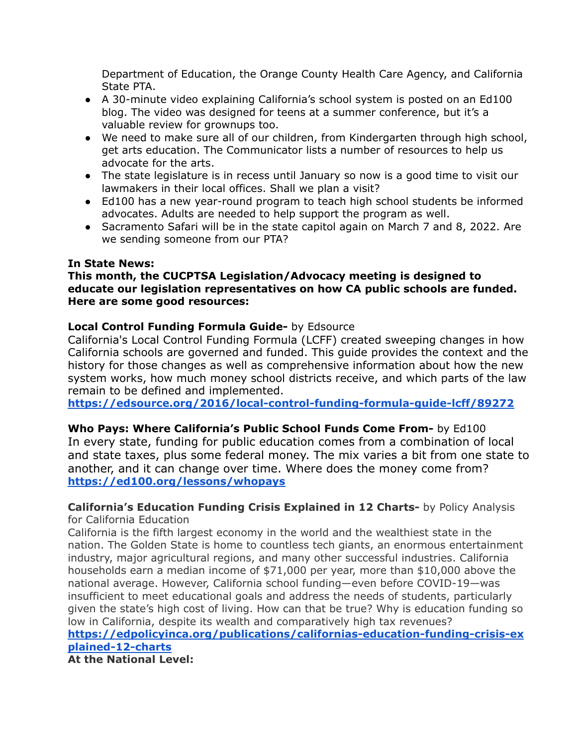Department of Education, the Orange County Health Care Agency, and California State PTA.

- A 30-minute video explaining California's school system is posted on an Ed100 blog. The video was designed for teens at a summer conference, but it's a valuable review for grownups too.
- We need to make sure all of our children, from Kindergarten through high school, get arts education. The Communicator lists a number of resources to help us advocate for the arts.
- The state legislature is in recess until January so now is a good time to visit our lawmakers in their local offices. Shall we plan a visit?
- Ed100 has a new year-round program to teach high school students be informed advocates. Adults are needed to help support the program as well.
- Sacramento Safari will be in the state capitol again on March 7 and 8, 2022. Are we sending someone from our PTA?

### **In State News:**

### **This month, the CUCPTSA Legislation/Advocacy meeting is designed to educate our legislation representatives on how CA public schools are funded. Here are some good resources:**

### **Local Control Funding Formula Guide-** by Edsource

California's Local Control Funding Formula (LCFF) created sweeping changes in how California schools are governed and funded. This guide provides the context and the history for those changes as well as comprehensive information about how the new system works, how much money school districts receive, and which parts of the law remain to be defined and implemented.

**<https://edsource.org/2016/local-control-funding-formula-guide-lcff/89272>**

### **Who Pays: Where California's Public School Funds Come From-** by Ed100

In every state, funding for public education comes from a combination of local and state taxes, plus some federal money. The mix varies a bit from one state to another, and it can change over time. Where does the money come from? **<https://ed100.org/lessons/whopays>**

**California's Education Funding Crisis Explained in 12 Charts-** by Policy Analysis for California Education

California is the fifth largest economy in the world and the wealthiest state in the nation. The Golden State is home to countless tech giants, an enormous entertainment industry, major agricultural regions, and many other successful industries. California households earn a median income of \$71,000 per year, more than \$10,000 above the national average. However, California school funding—even before COVID-19—was insufficient to meet educational goals and address the needs of students, particularly given the state's high cost of living. How can that be true? Why is education funding so low in California, despite its wealth and comparatively high tax revenues?

### **[https://edpolicyinca.org/publications/californias-education-funding-crisis-ex](https://edpolicyinca.org/publications/californias-education-funding-crisis-explained-12-charts) [plained-12-charts](https://edpolicyinca.org/publications/californias-education-funding-crisis-explained-12-charts)**

**At the National Level:**